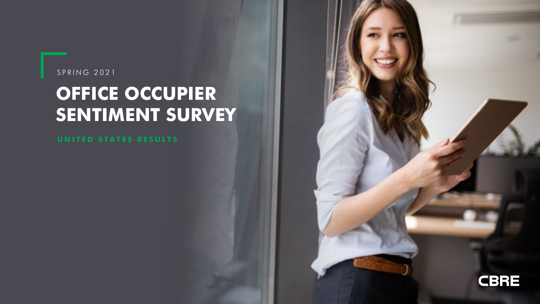### SPRING 2021

## **OFFICE OCCUPIER SENTIMENT SURVEY**

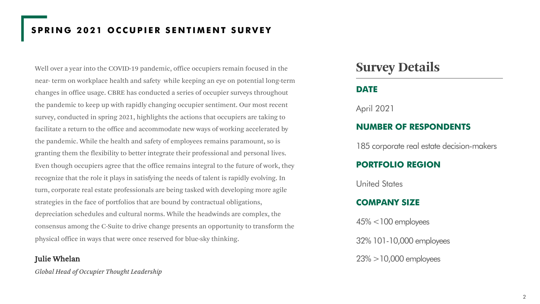## **SPRING 2021 OCCUPIER SENTIMENT SURVEY**

Well over a year into the COVID-19 pandemic, office occupiers remain focused in the near- term on workplace health and safety while keeping an eye on potential long-term changes in office usage. CBRE has conducted a series of occupier surveys throughout the pandemic to keep up with rapidly changing occupier sentiment. Our most recent survey, conducted in spring 2021, highlights the actions that occupiers are taking to facilitate a return to the office and accommodate new ways of working accelerated by the pandemic. While the health and safety of employees remains paramount, so is granting them the flexibility to better integrate their professional and personal lives. Even though occupiers agree that the office remains integral to the future of work, they recognize that the role it plays in satisfying the needs of talent is rapidly evolving. In turn, corporate real estate professionals are being tasked with developing more agile strategies in the face of portfolios that are bound by contractual obligations, depreciation schedules and cultural norms. While the headwinds are complex, the consensus among the C-Suite to drive change presents an opportunity to transform the physical office in ways that were once reserved for blue-sky thinking.

### Julie Whelan

*Global Head of Occupier Thought Leadership*

## **Survey Details**

### **DATE**

April 2021

### **NUMBER OF RESPONDENTS**

185 corporate real estate decision-makers

### **PORTFOLIO REGION**

United States

### **COMPANY SIZE**

45% <100 employees 32% 101-10,000 employees 23% >10,000 employees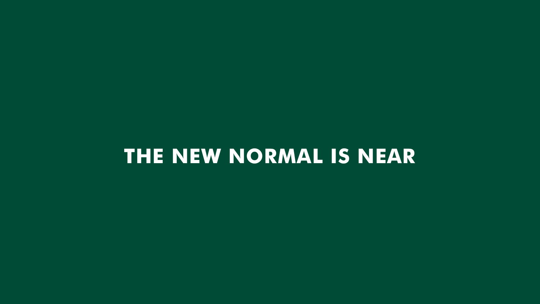## **THE NEW NORMAL IS NEAR**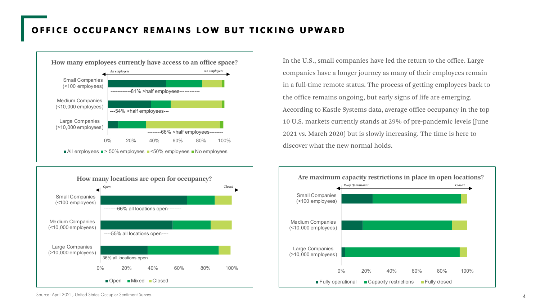### **OFFICE OCCUPANCY REMAINS LOW BUT TICKING UPWARD**





In the U.S., small companies have led the return to the office. Large companies have a longer journey as many of their employees remain in a full-time remote status. The process of getting employees back to the office remains ongoing, but early signs of life are emerging. According to Kastle Systems data, average office occupancy in the top 10 U.S. markets currently stands at 29% of pre-pandemic levels (June 2021 vs. March 2020) but is slowly increasing. The time is here to discover what the new normal holds.



Source: April 2021, United States Occupier Sentiment Survey.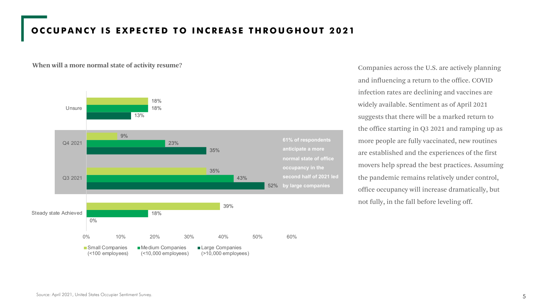### **OCCUPANCY IS EXPECTED TO INCREASE THROUGHOUT 2021**



**When will a more normal state of activity resume?** Companies across the U.S. are actively planning and influencing a return to the office. COVID infection rates are declining and vaccines are widely available. Sentiment as of April 2021 suggests that there will be a marked return to the office starting in Q3 2021 and ramping up as more people are fully vaccinated, new routines are established and the experiences of the first movers help spread the best practices. Assuming the pandemic remains relatively under control, office occupancy will increase dramatically, but not fully, in the fall before leveling off.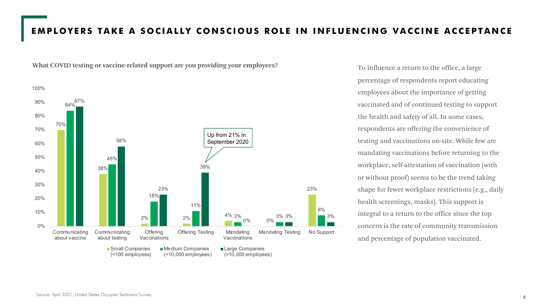### **EMPLOYERS TAKE A SOCIALLY CONSCIOUS ROLE IN INFLUENCING VACCINE ACCEPTANCE**



**What COVID testing or vaccine-related support are you providing your employees?**

To influence a return to the office, a large percentage of respondents report educating employees about the importance of getting vaccinated and of continued testing to support the health and safety of all. In some cases, respondents are offering the convenience of testing and vaccinations on-site. While few are mandating vaccinations before returning to the workplace, self-attestation of vaccination (with or without proof) seems to be the trend taking shape for fewer workplace restrictions (e.g., daily health screenings, masks). This support is integral to a return to the office since the top concern is the rate of community transmission and percentage of population vaccinated.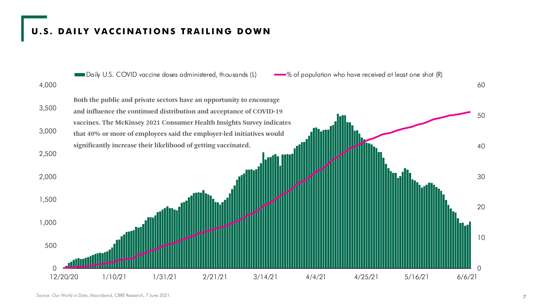### **U.S. DAILY VACCINATIONS TRAILING DOWN**

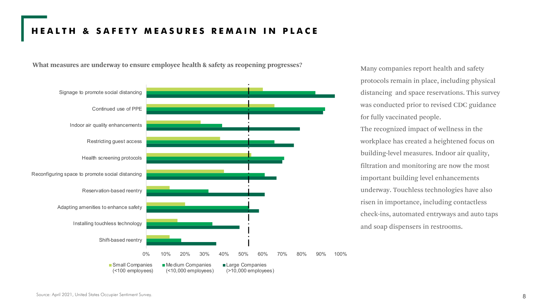### **HEALTH & SAFETY MEASURES REMAIN IN PLACE**

**What measures are underway to ensure employee health & safety as reopening progresses?**



Many companies report health and safety protocols remain in place, including physical distancing and space reservations. This survey was conducted prior to revised CDC guidance for fully vaccinated people.

The recognized impact of wellness in the workplace has created a heightened focus on building-level measures. Indoor air quality, filtration and monitoring are now the most important building level enhancements underway. Touchless technologies have also risen in importance, including contactless check-ins, automated entryways and auto taps and soap dispensers in restrooms.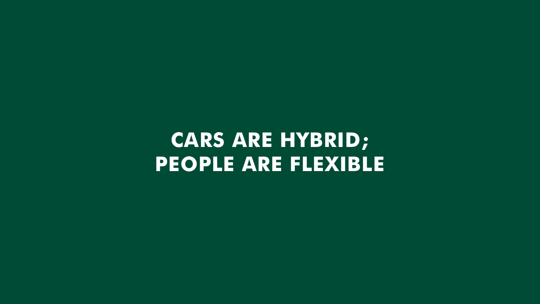# **CARS ARE HYBRID; PEOPLE ARE FLEXIBLE**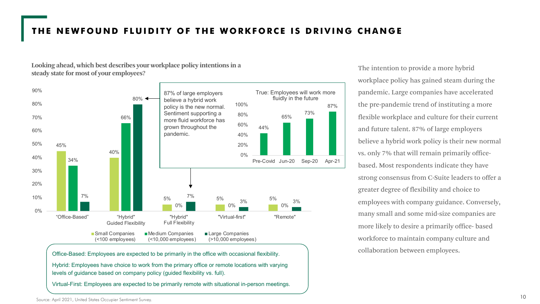### **THE NEWFOUND FLUIDITY OF THE WORKFORCE IS DRIVING CHANGE**

**Looking ahead, which best describes your workplace policy intentions in a steady state for most of your employees?**



Office-Based: Employees are expected to be primarily in the office with occasional flexibility.

Hybrid: Employees have choice to work from the primary office or remote locations with varying levels of guidance based on company policy (guided flexibility vs. full).

Virtual-First: Employees are expected to be primarily remote with situational in-person meetings.

The intention to provide a more hybrid workplace policy has gained steam during the pandemic. Large companies have accelerated the pre-pandemic trend of instituting a more flexible workplace and culture for their current and future talent. 87% of large employers believe a hybrid work policy is their new normal vs. only 7% that will remain primarily officebased. Most respondents indicate they have strong consensus from C-Suite leaders to offer a greater degree of flexibility and choice to employees with company guidance. Conversely, many small and some mid-size companies are more likely to desire a primarily office- based workforce to maintain company culture and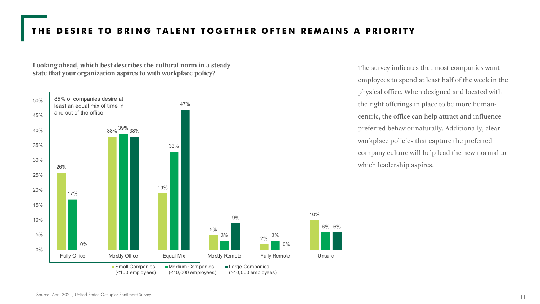## **THE DESIRE TO BRING TALENT TOGETHER OFTEN REMAINS A PRIORITY**

**Looking ahead, which best describes the cultural norm in a steady state that your organization aspires to with workplace policy?**



The survey indicates that most companies want employees to spend at least half of the week in the physical office. When designed and located with the right offerings in place to be more humancentric, the office can help attract and influence preferred behavior naturally. Additionally, clear workplace policies that capture the preferred company culture will help lead the new normal to which leadership aspires.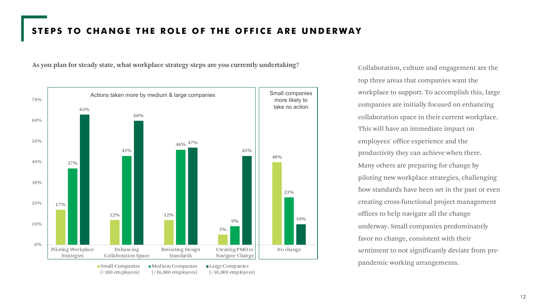### **STEPS TO CHANGE THE ROLE OF THE OFFICE ARE UNDERWAY**

**As you plan for steady state, what workplace strategy steps are you currently undertaking?**



Collaboration, culture and engagement are the top three areas that companies want the workplace to support. To accomplish this, large companies are initially focused on enhancing collaboration space in their current workplace. This will have an immediate impact on employees' office experience and the productivity they can achieve when there. Many others are preparing for change by piloting new workplace strategies, challenging how standards have been set in the past or even creating cross-functional project management offices to help navigate all the change underway. Small companies predominantly favor no change, consistent with their sentiment to not significantly deviate from prepandemic working arrangements.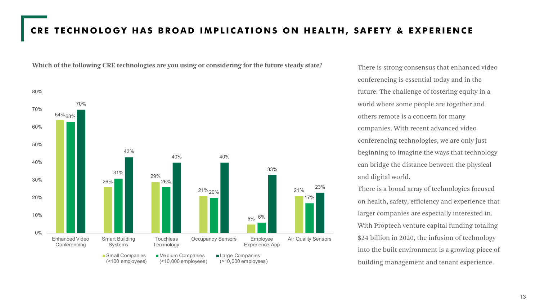### **CRE TECHNOLOGY HAS BROAD IMPLICATIONS ON HEALTH, SAFETY & EXPERIENCE**

64% 63% 26% 29% 21% 20% 5% 6% 21% 31% 26% 17% 70% 43% 40% 40% 33% 23% 0% 10% 20% 30% 40% 50% 60% 70% 80% Enhanced Video Conferencing Smart Building Systems **Touchless Technology** Occupancy Sensors Employee Experience App Air Quality Sensors ■ Small Companies (<100 employees) **Medium Companies** (<10,000 employees) Large Companies (>10,000 employees)

**Which of the following CRE technologies are you using or considering for the future steady state?**

There is strong consensus that enhanced video conferencing is essential today and in the future. The challenge of fostering equity in a world where some people are together and others remote is a concern for many companies. With recent advanced video conferencing technologies, we are only just beginning to imagine the ways that technology can bridge the distance between the physical and digital world.

There is a broad array of technologies focused on health, safety, efficiency and experience that larger companies are especially interested in. With Proptech venture capital funding totaling \$24 billion in 2020, the infusion of technology into the built environment is a growing piece of building management and tenant experience.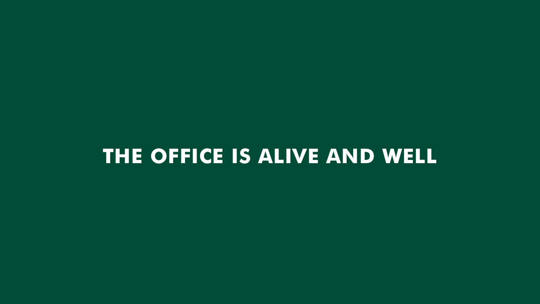## **THE OFFICE IS ALIVE AND WELL**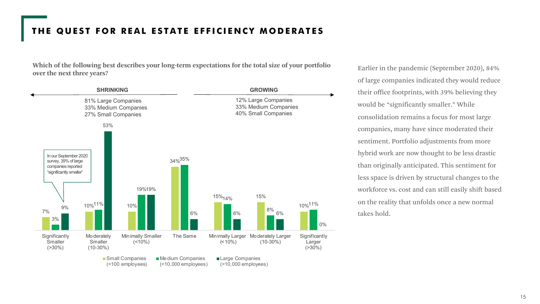### **THE QUEST FOR REAL ESTATE EFFICIENCY MODERATES**

**Which of the following best describes your long-term expectations for the total size of your portfolio over the next three years?**



Earlier in the pandemic (September 2020), 84% of large companies indicated they would reduce their office footprints, with 39% believing they would be "significantly smaller." While consolidation remains a focus for most large companies, many have since moderated their sentiment. Portfolio adjustments from more hybrid work are now thought to be less drastic than originally anticipated. This sentiment for less space is driven by structural changes to the workforce vs. cost and can still easily shift based on the reality that unfolds once a new normal takes hold.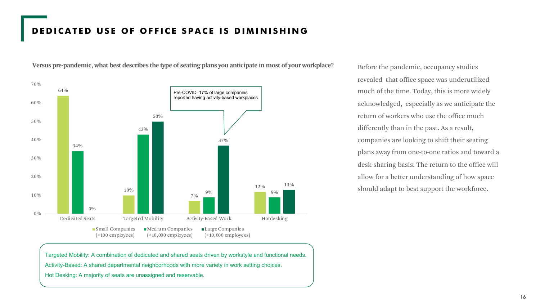### **DEDICATED USE OF OFFICE SPACE IS DIMINISHING**



**Versus pre-pandemic, what best describes the type of seating plans you anticipate in most of your workplace?**

Targeted Mobility: A combination of dedicated and shared seats driven by workstyle and functional needs. Activity-Based: A shared departmental neighborhoods with more variety in work setting choices.

Hot Desking: A majority of seats are unassigned and reservable.

Before the pandemic, occupancy studies revealed that office space was underutilized much of the time. Today, this is more widely acknowledged, especially as we anticipate the return of workers who use the office much differently than in the past. As a result, companies are looking to shift their seating plans away from one-to-one ratios and toward a desk-sharing basis. The return to the office will allow for a better understanding of how space should adapt to best support the workforce.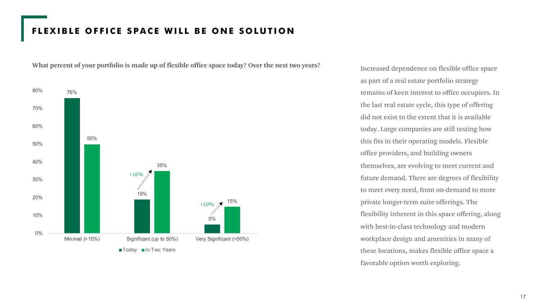### **FLEXIBLE OFFICE SPACE WILL BE ONE SOLUTION**

**What percent of your portfolio is made up of flexible office space today? Over the next two years?**



Increased dependence on flexible office space as part of a real estate portfolio strategy remains of keen interest to office occupiers. In the last real estate cycle, this type of offering did not exist to the extent that it is available today. Large companies are still testing how this fits in their operating models. Flexible office providers, and building owners themselves, are evolving to meet current and future demand. There are degrees of flexibility to meet every need, from on-demand to more private longer-term suite offerings. The flexibility inherent in this space offering, along with best-in-class technology and modern workplace design and amenities in many of these locations, makes flexible office space a favorable option worth exploring.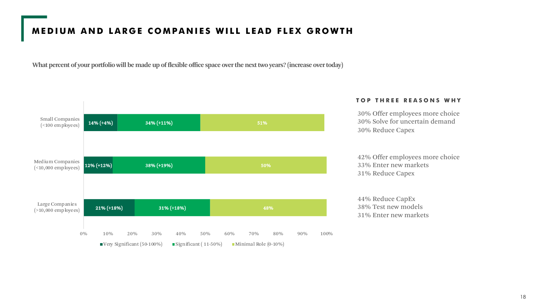## **MEDIUM AND LARGE COMPANIES WILL LEAD FLEX GROWTH**

**What percent of your portfolio will be made up of flexible office space over the next two years? (increase over today)**



### **TOP THREE REASONS WHY**

30% Offer employees more choice 30% Solve for uncertain demand 30% Reduce Capex

42% Offer employees more choice 33% Enter new markets 31% Reduce Capex

44% Reduce CapEx 38% Test new models 31% Enter new markets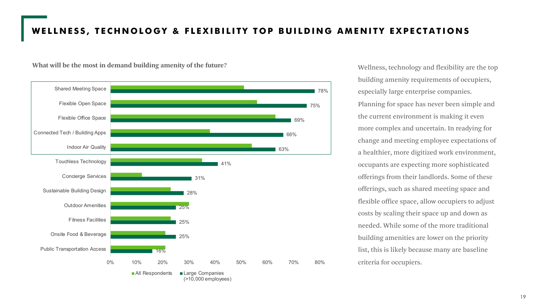### **WELLNESS, TECHNOLOGY & FLEXIBILITY TOP BUILDING AMENITY EXPECTATIONS**

### **What will be the most in demand building amenity of the future?**



Wellness, technology and flexibility are the top building amenity requirements of occupiers, especially large enterprise companies. Planning for space has never been simple and the current environment is making it even more complex and uncertain. In readying for change and meeting employee expectations of a healthier, more digitized work environment, occupants are expecting more sophisticated offerings from their landlords. Some of these offerings, such as shared meeting space and flexible office space, allow occupiers to adjust costs by scaling their space up and down as needed. While some of the more traditional building amenities are lower on the priority list, this is likely because many are baseline criteria for occupiers.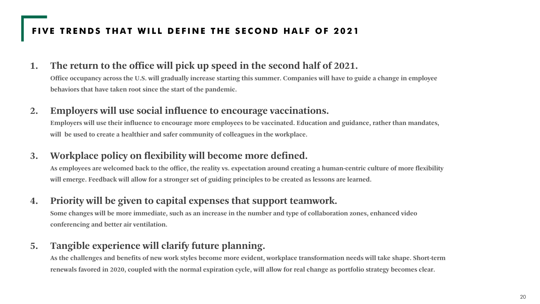## **FIVE TRENDS THAT WILL DEFINE THE SECOND HALF OF 2021**

### **1. The return to the office will pick up speed in the second half of 2021.**

**Office occupancy across the U.S. will gradually increase starting this summer. Companies will have to guide a change in employee behaviors that have taken root since the start of the pandemic.**

### **2. Employers will use social influence to encourage vaccinations.**

**Employers will use their influence to encourage more employees to be vaccinated. Education and guidance, rather than mandates, will be used to create a healthier and safer community of colleagues in the workplace.**

## **3. Workplace policy on flexibility will become more defined.**

**As employees are welcomed back to the office, the reality vs. expectation around creating a human-centric culture of more flexibility will emerge. Feedback will allow for a stronger set of guiding principles to be created as lessons are learned.**

### **4. Priority will be given to capital expenses that support teamwork.**

**Some changes will be more immediate, such as an increase in the number and type of collaboration zones, enhanced video conferencing and better air ventilation.**

## **5. Tangible experience will clarify future planning.**

**As the challenges and benefits of new work styles become more evident, workplace transformation needs will take shape. Short-term renewals favored in 2020, coupled with the normal expiration cycle, will allow for real change as portfolio strategy becomes clear.**